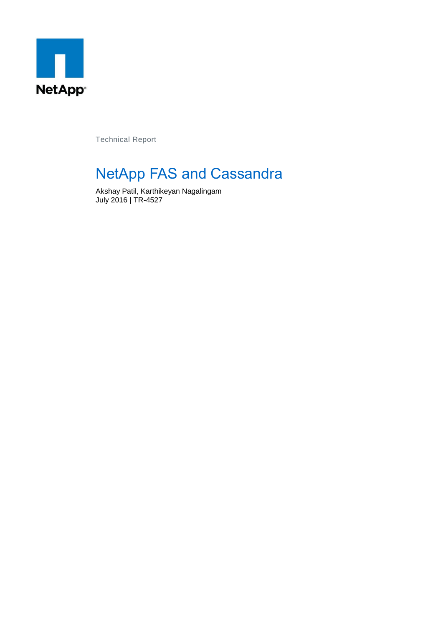

Technical Report

# NetApp FAS and Cassandra

Akshay Patil, Karthikeyan Nagalingam July 2016 | TR-4527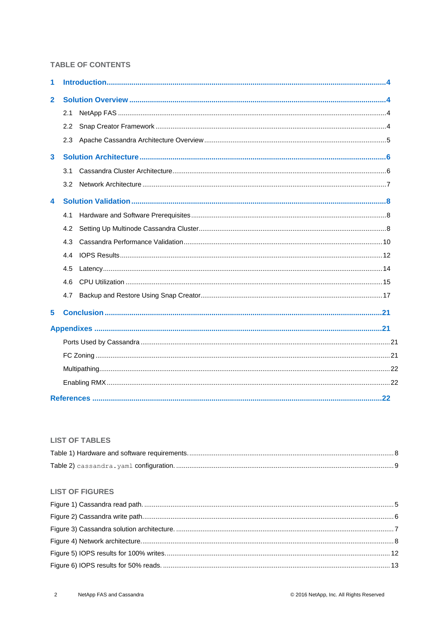#### **TABLE OF CONTENTS**

| 1                |     |  |
|------------------|-----|--|
| $\mathbf{2}$     |     |  |
|                  | 2.1 |  |
|                  | 2.2 |  |
|                  | 2.3 |  |
| 3                |     |  |
|                  | 3.1 |  |
|                  | 3.2 |  |
| $\blacktriangle$ |     |  |
|                  | 4.1 |  |
|                  | 4.2 |  |
|                  | 4.3 |  |
|                  | 4.4 |  |
|                  | 4.5 |  |
|                  | 4.6 |  |
|                  | 4.7 |  |
| 5                |     |  |
|                  |     |  |
|                  |     |  |
|                  |     |  |
|                  |     |  |
|                  |     |  |
|                  |     |  |

#### **LIST OF TABLES**

#### **LIST OF FIGURES**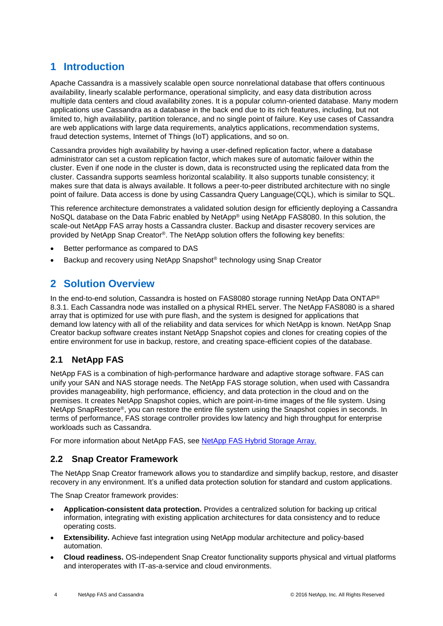# <span id="page-3-0"></span>**1 Introduction**

Apache Cassandra is a massively scalable open source nonrelational database that offers continuous availability, linearly scalable performance, operational simplicity, and easy data distribution across multiple data centers and cloud availability zones. It is a popular column-oriented database. Many modern applications use Cassandra as a database in the back end due to its rich features, including, but not limited to, high availability, partition tolerance, and no single point of failure. Key use cases of Cassandra are web applications with large data requirements, analytics applications, recommendation systems, fraud detection systems, Internet of Things (IoT) applications, and so on.

Cassandra provides high availability by having a user-defined replication factor, where a database administrator can set a custom replication factor, which makes sure of automatic failover within the cluster. Even if one node in the cluster is down, data is reconstructed using the replicated data from the cluster. Cassandra supports seamless horizontal scalability. It also supports tunable consistency; it makes sure that data is always available. It follows a peer-to-peer distributed architecture with no single point of failure. Data access is done by using Cassandra Query Language(CQL), which is similar to SQL.

This reference architecture demonstrates a validated solution design for efficiently deploying a Cassandra NoSQL database on the Data Fabric enabled by NetApp® using NetApp FAS8080. In this solution, the scale-out NetApp FAS array hosts a Cassandra cluster. Backup and disaster recovery services are provided by NetApp Snap Creator®. The NetApp solution offers the following key benefits:

- Better performance as compared to DAS
- Backup and recovery using NetApp Snapshot® technology using Snap Creator

# <span id="page-3-1"></span>**2 Solution Overview**

In the end-to-end solution, Cassandra is hosted on FAS8080 storage running NetApp Data ONTAP<sup>®</sup> 8.3.1. Each Cassandra node was installed on a physical RHEL server. The NetApp FAS8080 is a shared array that is optimized for use with pure flash, and the system is designed for applications that demand low latency with all of the reliability and data services for which NetApp is known. NetApp Snap Creator backup software creates instant NetApp Snapshot copies and clones for creating copies of the entire environment for use in backup, restore, and creating space-efficient copies of the database.

# <span id="page-3-2"></span>**2.1 NetApp FAS**

NetApp FAS is a combination of high-performance hardware and adaptive storage software. FAS can unify your SAN and NAS storage needs. The NetApp FAS storage solution, when used with Cassandra provides manageability, high performance, efficiency, and data protection in the cloud and on the premises. It creates NetApp Snapshot copies, which are point-in-time images of the file system. Using NetApp SnapRestore®, you can restore the entire file system using the Snapshot copies in seconds. In terms of performance, FAS storage controller provides low latency and high throughput for enterprise workloads such as Cassandra.

For more information about NetApp FAS, see [NetApp FAS Hybrid Storage Array.](http://www.netapp.com/in/products/storage-systems/fas8000/)

## <span id="page-3-3"></span>**2.2 Snap Creator Framework**

The NetApp Snap Creator framework allows you to standardize and simplify backup, restore, and disaster recovery in any environment. It's a unified data protection solution for standard and custom applications.

The Snap Creator framework provides:

- **Application-consistent data protection.** Provides a centralized solution for backing up critical information, integrating with existing application architectures for data consistency and to reduce operating costs.
- **Extensibility.** Achieve fast integration using NetApp modular architecture and policy-based automation.
- **Cloud readiness.** OS-independent Snap Creator functionality supports physical and virtual platforms and interoperates with IT-as-a-service and cloud environments.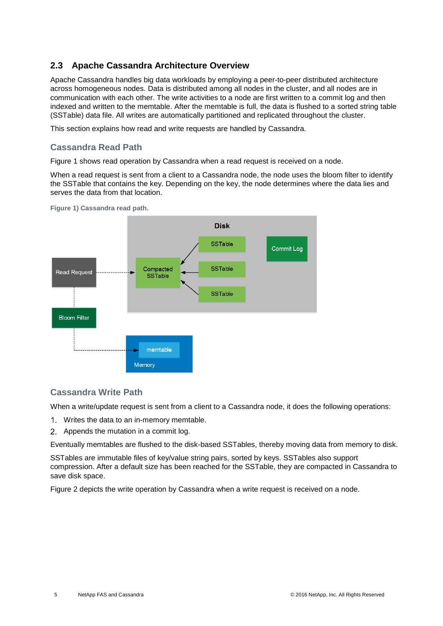## <span id="page-4-0"></span>**2.3 Apache Cassandra Architecture Overview**

Apache Cassandra handles big data workloads by employing a peer-to-peer distributed architecture across homogeneous nodes. Data is distributed among all nodes in the cluster, and all nodes are in communication with each other. The write activities to a node are first written to a commit log and then indexed and written to the memtable. After the memtable is full, the data is flushed to a sorted string table (SSTable) data file. All writes are automatically partitioned and replicated throughout the cluster.

This section explains how read and write requests are handled by Cassandra.

#### **Cassandra Read Path**

[Figure 1](#page-4-1) shows read operation by Cassandra when a read request is received on a node.

When a read request is sent from a client to a Cassandra node, the node uses the bloom filter to identify the SSTable that contains the key. Depending on the key, the node determines where the data lies and serves the data from that location.



<span id="page-4-1"></span>**Figure 1) Cassandra read path.**

## **Cassandra Write Path**

When a write/update request is sent from a client to a Cassandra node, it does the following operations:

- Writes the data to an in-memory memtable.
- 2. Appends the mutation in a commit log.

Eventually memtables are flushed to the disk-based SSTables, thereby moving data from memory to disk.

SSTables are immutable files of key/value string pairs, sorted by keys. SSTables also support compression. After a default size has been reached for the SSTable, they are compacted in Cassandra to save disk space.

[Figure 2](#page-5-2) depicts the write operation by Cassandra when a write request is received on a node.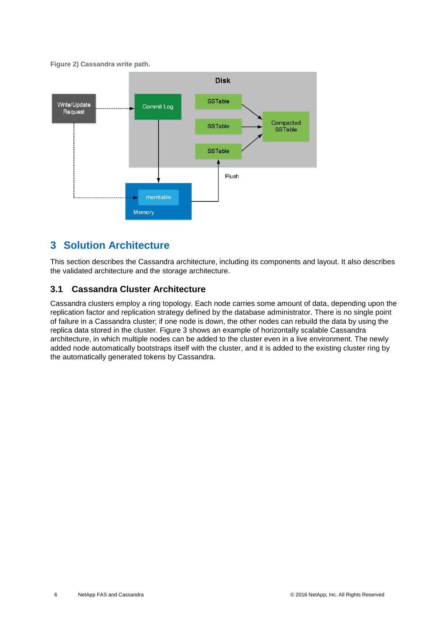<span id="page-5-2"></span>**Figure 2) Cassandra write path.**



# <span id="page-5-0"></span>**3 Solution Architecture**

This section describes the Cassandra architecture, including its components and layout. It also describes the validated architecture and the storage architecture.

## <span id="page-5-1"></span>**3.1 Cassandra Cluster Architecture**

Cassandra clusters employ a ring topology. Each node carries some amount of data, depending upon the replication factor and replication strategy defined by the database administrator. There is no single point of failure in a Cassandra cluster; if one node is down, the other nodes can rebuild the data by using the replica data stored in the cluster. Figure 3 shows an example of horizontally scalable Cassandra architecture, in which multiple nodes can be added to the cluster even in a live environment. The newly added node automatically bootstraps itself with the cluster, and it is added to the existing cluster ring by the automatically generated tokens by Cassandra.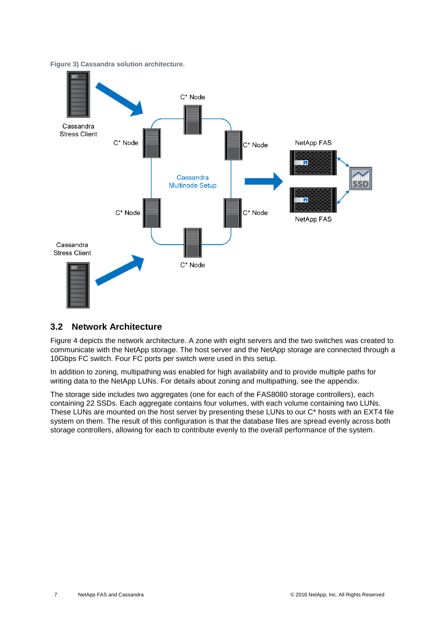<span id="page-6-1"></span>



#### <span id="page-6-0"></span>**3.2 Network Architecture**

[Figure 4](#page-7-4) depicts the network architecture. A zone with eight servers and the two switches was created to communicate with the NetApp storage. The host server and the NetApp storage are connected through a 10Gbps FC switch. Four FC ports per switch were used in this setup.

In addition to zoning, multipathing was enabled for high availability and to provide multiple paths for writing data to the NetApp LUNs. For details about zoning and multipathing, see the appendix.

The storage side includes two aggregates (one for each of the FAS8080 storage controllers), each containing 22 SSDs. Each aggregate contains four volumes, with each volume containing two LUNs. These LUNs are mounted on the host server by presenting these LUNs to our C\* hosts with an EXT4 file system on them. The result of this configuration is that the database files are spread evenly across both storage controllers, allowing for each to contribute evenly to the overall performance of the system.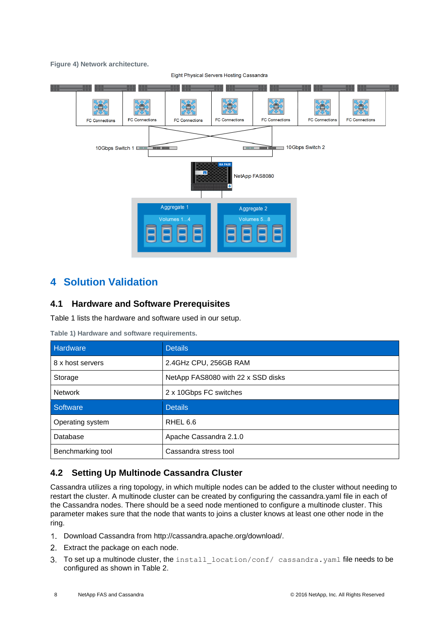<span id="page-7-4"></span>**Figure 4) Network architecture.**



<span id="page-7-0"></span>**4 Solution Validation**

#### <span id="page-7-1"></span>**4.1 Hardware and Software Prerequisites**

[Table 1](#page-7-3) lists the hardware and software used in our setup.

<span id="page-7-3"></span>

|  | Table 1) Hardware and software requirements. |
|--|----------------------------------------------|

| Hardware          | <b>Details</b>                     |
|-------------------|------------------------------------|
| 8 x host servers  | 2.4GHz CPU, 256GB RAM              |
| Storage           | NetApp FAS8080 with 22 x SSD disks |
| <b>Network</b>    | 2 x 10Gbps FC switches             |
| Software          | Details                            |
| Operating system  | RHEL 6.6                           |
| Database          | Apache Cassandra 2.1.0             |
| Benchmarking tool | Cassandra stress tool              |

## <span id="page-7-2"></span>**4.2 Setting Up Multinode Cassandra Cluster**

Cassandra utilizes a ring topology, in which multiple nodes can be added to the cluster without needing to restart the cluster. A multinode cluster can be created by configuring the cassandra.yaml file in each of the Cassandra nodes. There should be a seed node mentioned to configure a multinode cluster. This parameter makes sure that the node that wants to joins a cluster knows at least one other node in the ring.

- Download Cassandra from http://cassandra.apache.org/download/.
- 2. Extract the package on each node.
- 3. To set up a multinode cluster, the install location/conf/ cassandra.yaml file needs to be configured as shown in [Table 2.](#page-8-0)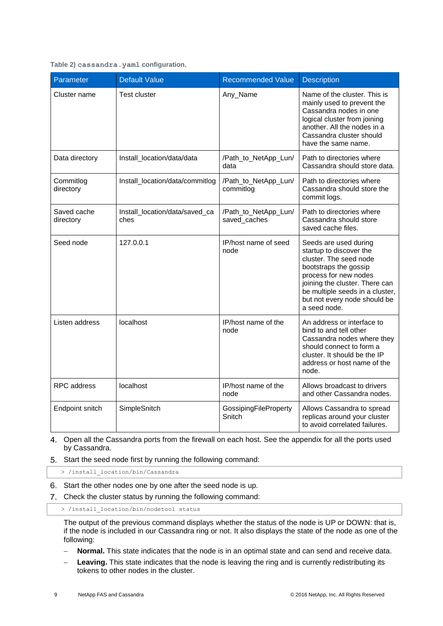#### <span id="page-8-0"></span>**Table 2) cassandra.yaml configuration.**

| Parameter                | <b>Default Value</b>                   | <b>Recommended Value</b>             | <b>Description</b>                                                                                                                                                                                                                                |
|--------------------------|----------------------------------------|--------------------------------------|---------------------------------------------------------------------------------------------------------------------------------------------------------------------------------------------------------------------------------------------------|
| Cluster name             | <b>Test cluster</b>                    | Any_Name                             | Name of the cluster. This is<br>mainly used to prevent the<br>Cassandra nodes in one<br>logical cluster from joining<br>another. All the nodes in a<br>Cassandra cluster should<br>have the same name.                                            |
| Data directory           | Install location/data/data             | /Path_to_NetApp_Lun/<br>data         | Path to directories where<br>Cassandra should store data.                                                                                                                                                                                         |
| Commitlog<br>directory   | Install_location/data/commitlog        | /Path_to_NetApp_Lun/<br>commitlog    | Path to directories where<br>Cassandra should store the<br>commit logs.                                                                                                                                                                           |
| Saved cache<br>directory | Install_location/data/saved_ca<br>ches | /Path_to_NetApp_Lun/<br>saved_caches | Path to directories where<br>Cassandra should store<br>saved cache files.                                                                                                                                                                         |
| Seed node                | 127.0.0.1                              | IP/host name of seed<br>node         | Seeds are used during<br>startup to discover the<br>cluster. The seed node<br>bootstraps the gossip<br>process for new nodes<br>joining the cluster. There can<br>be multiple seeds in a cluster,<br>but not every node should be<br>a seed node. |
| Listen address           | localhost                              | IP/host name of the<br>node          | An address or interface to<br>bind to and tell other<br>Cassandra nodes where they<br>should connect to form a<br>cluster. It should be the IP<br>address or host name of the<br>node.                                                            |
| <b>RPC</b> address       | localhost                              | IP/host name of the<br>node          | Allows broadcast to drivers<br>and other Cassandra nodes.                                                                                                                                                                                         |
| Endpoint snitch          | SimpleSnitch                           | GossipingFileProperty<br>Snitch      | Allows Cassandra to spread<br>replicas around your cluster<br>to avoid correlated failures.                                                                                                                                                       |

Open all the Cassandra ports from the firewall on each host. See the appendix for all the ports used by Cassandra.

Start the seed node first by running the following command:

> /install\_location/bin/Cassandra

- Start the other nodes one by one after the seed node is up.
- Check the cluster status by running the following command:

> /install\_location/bin/nodetool status

The output of the previous command displays whether the status of the node is UP or DOWN: that is, if the node is included in our Cassandra ring or not. It also displays the state of the node as one of the following:

- **Normal.** This state indicates that the node is in an optimal state and can send and receive data.
- **Leaving.** This state indicates that the node is leaving the ring and is currently redistributing its tokens to other nodes in the cluster.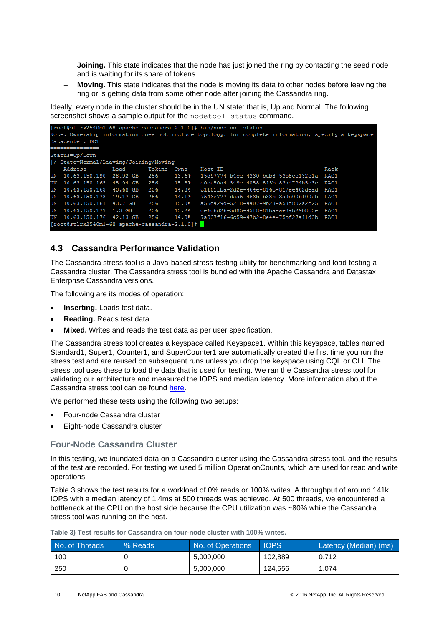- **Joining.** This state indicates that the node has just joined the ring by contacting the seed node and is waiting for its share of tokens.
- **Moving.** This state indicates that the node is moving its data to other nodes before leaving the ring or is getting data from some other node after joining the Cassandra ring.

Ideally, every node in the cluster should be in the UN state: that is, Up and Normal. The following screenshot shows a sample output for the nodetool status command.

|    | [root@stlrx2540m1-68 apache-cassandra-2.1.01# bin/nodetool status |          |        |       |                                                                                                     |      |
|----|-------------------------------------------------------------------|----------|--------|-------|-----------------------------------------------------------------------------------------------------|------|
|    |                                                                   |          |        |       | Note: Ownership information does not include topology; for complete information, specify a keyspace |      |
|    | Datacenter: DC1                                                   |          |        |       |                                                                                                     |      |
|    | ---------------                                                   |          |        |       |                                                                                                     |      |
|    | Status=Up/Down                                                    |          |        |       |                                                                                                     |      |
|    | / State=Normal/Leaving/Joining/Moving                             |          |        |       |                                                                                                     |      |
|    | Address                                                           | Load     | Tokens | Owns  | Host ID                                                                                             | Rack |
| UN | 10.63.150.190                                                     | 28.92 GB | 256    | 13.6% | 15d97774-b4ce-4330-bdb8-53b8ce132e1a                                                                | RAC1 |
| UN | 10.63.150.165 45.94 GB                                            |          | 256    | 15.3% | e0ca50a4-549e-4058-813b-83ad794b5e3c                                                                | RAC1 |
| UN | 10.63.150.163                                                     | 43.68 GB | 256    | 14.8% | c1f01fba-2d2e-464e-816c-817ee462dead                                                                | RAC1 |
| ÚN | 10.63.150.178 19.17 GB                                            |          | 256    | 14.1% | 7543e777-daa6-463b-b38b-3a9c00bf00eb                                                                | RAC1 |
| ÚN | 10.63.150.161                                                     | 43.7 GB  | 256    | 15.0% | a55d429d-5218-4407-9b23-a53d802a2c25                                                                | RAC1 |
| ÜN | 10.63.150.177 1.3 GB                                              |          | 256    | 13.2% | de6d6d26-5d85-45f8-81ba-ae8ab29b8c5e                                                                | RAC1 |
| UN | 10.63.150.176 42.13 GB                                            |          | 256    | 14.0% | 7a037f16-6c59-47b2-8e4e-75bf27a11d3b                                                                | RAC1 |
|    | [root@stlrx2540m1-68 apache-cassandra-2.1.0]#                     |          |        |       |                                                                                                     |      |

#### <span id="page-9-0"></span>**4.3 Cassandra Performance Validation**

The Cassandra stress tool is a Java-based stress-testing utility for benchmarking and load testing a Cassandra cluster. The Cassandra stress tool is bundled with the Apache Cassandra and Datastax Enterprise Cassandra versions.

The following are its modes of operation:

- **Inserting.** Loads test data.
- **Reading.** Reads test data.
- **Mixed.** Writes and reads the test data as per user specification.

The Cassandra stress tool creates a keyspace called Keyspace1. Within this keyspace, tables named Standard1, Super1, Counter1, and SuperCounter1 are automatically created the first time you run the stress test and are reused on subsequent runs unless you drop the keyspace using CQL or CLI. The stress tool uses these to load the data that is used for testing. We ran the Cassandra stress tool for validating our architecture and measured the IOPS and median latency. More information about the Cassandra stress tool can be found [here.](http://docs.datastax.com/en/cassandra/1.2/cassandra/tools/toolsCStress_t.html)

We performed these tests using the following two setups:

- Four-node Cassandra cluster
- Eight-node Cassandra cluster

#### **Four-Node Cassandra Cluster**

In this testing, we inundated data on a Cassandra cluster using the Cassandra stress tool, and the results of the test are recorded. For testing we used 5 million OperationCounts, which are used for read and write operations.

Table 3 shows the test results for a workload of 0% reads or 100% writes. A throughput of around 141k IOPS with a median latency of 1.4ms at 500 threads was achieved. At 500 threads, we encountered a bottleneck at the CPU on the host side because the CPU utilization was ~80% while the Cassandra stress tool was running on the host.

| No. of Threads | % Reads | No. of Operations | <b>IOPS</b> | Latency (Median) (ms) |
|----------------|---------|-------------------|-------------|-----------------------|
| 100            |         | 5.000.000         | 102.889     | 0.712                 |
| 250            |         | 5,000,000         | 124.556     | 1.074                 |

**Table 3) Test results for Cassandra on four-node cluster with 100% writes.**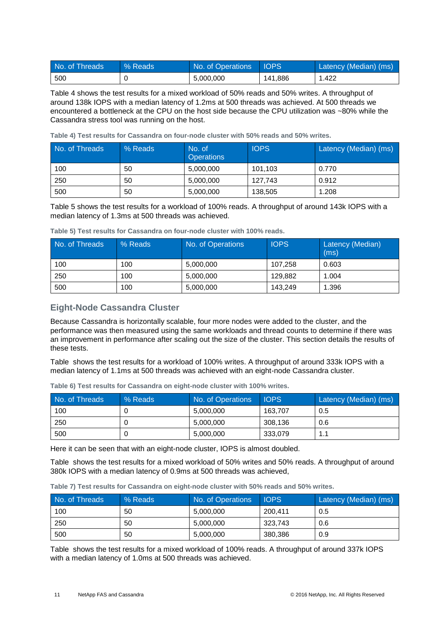| No. of Threads | <b>M</b> Reads | No. of Operations | <b>I</b> IOPS | Latency (Median) (ms) |
|----------------|----------------|-------------------|---------------|-----------------------|
| 500            |                | 5,000,000         | 141,886       | 1.422                 |

Table 4 shows the test results for a mixed workload of 50% reads and 50% writes. A throughput of around 138k IOPS with a median latency of 1.2ms at 500 threads was achieved. At 500 threads we encountered a bottleneck at the CPU on the host side because the CPU utilization was ~80% while the Cassandra stress tool was running on the host.

**Table 4) Test results for Cassandra on four-node cluster with 50% reads and 50% writes.**

| No. of Threads | % Reads | No. of<br><b>Operations</b> | <b>IOPS</b> | Latency (Median) (ms) |
|----------------|---------|-----------------------------|-------------|-----------------------|
| 100            | 50      | 5,000,000                   | 101,103     | 0.770                 |
| 250            | 50      | 5,000,000                   | 127.743     | 0.912                 |
| 500            | 50      | 5,000,000                   | 138,505     | 1.208                 |

Table 5 shows the test results for a workload of 100% reads. A throughput of around 143k IOPS with a median latency of 1.3ms at 500 threads was achieved.

| No. of Threads | % Reads | No. of Operations | <b>IOPS</b> | Latency (Median)<br>(ms) |
|----------------|---------|-------------------|-------------|--------------------------|
| 100            | 100     | 5,000,000         | 107.258     | 0.603                    |
| 250            | 100     | 5,000,000         | 129.882     | 1.004                    |
| 500            | 100     | 5,000,000         | 143.249     | 1.396                    |

**Table 5) Test results for Cassandra on four-node cluster with 100% reads.**

#### **Eight-Node Cassandra Cluster**

Because Cassandra is horizontally scalable, four more nodes were added to the cluster, and the performance was then measured using the same workloads and thread counts to determine if there was an improvement in performance after scaling out the size of the cluster. This section details the results of these tests.

[Table](#page-10-0) shows the test results for a workload of 100% writes. A throughput of around 333k IOPS with a median latency of 1.1ms at 500 threads was achieved with an eight-node Cassandra cluster.

| No. of Threads | % Reads | No. of Operations | <b>IOPS</b> | Latency (Median) (ms) |
|----------------|---------|-------------------|-------------|-----------------------|
| 100            |         | 5,000,000         | 163.707     | 0.5                   |
| 250            |         | 5,000,000         | 308.136     | 0.6                   |
| 500            |         | 5,000,000         | 333,079     | -1-1                  |

<span id="page-10-0"></span>**Table 6) Test results for Cassandra on eight-node cluster with 100% writes.**

Here it can be seen that with an eight-node cluster, IOPS is almost doubled.

[Table](#page-10-1) shows the test results for a mixed workload of 50% writes and 50% reads. A throughput of around 380k IOPS with a median latency of 0.9ms at 500 threads was achieved,

<span id="page-10-1"></span>

|  |  | Table 7) Test results for Cassandra on eight-node cluster with 50% reads and 50% writes. |
|--|--|------------------------------------------------------------------------------------------|
|--|--|------------------------------------------------------------------------------------------|

| No. of Threads | % Reads | No. of Operations | <b>IOPS</b> | Latency (Median) (ms) |
|----------------|---------|-------------------|-------------|-----------------------|
| 100            | 50      | 5.000.000         | 200.411     | 0.5                   |
| 250            | 50      | 5.000.000         | 323.743     | 0.6                   |
| 500            | 50      | 5,000,000         | 380,386     | 0.9                   |

[Table](#page-11-2) shows the test results for a mixed workload of 100% reads. A throughput of around 337k IOPS with a median latency of 1.0ms at 500 threads was achieved.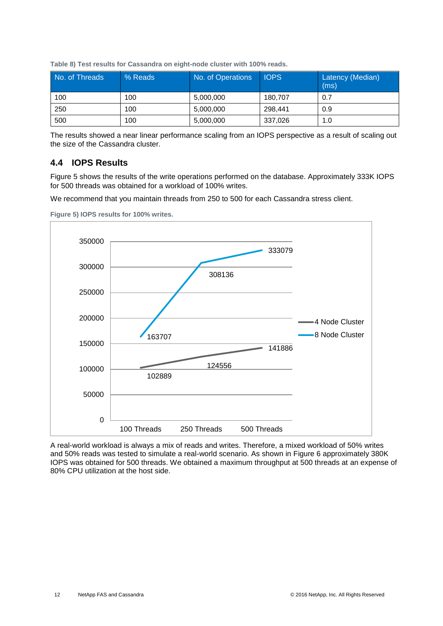| No. of Threads | % Reads | No. of Operations | <b>IOPS</b> | Latency (Median)<br>(ms) |
|----------------|---------|-------------------|-------------|--------------------------|
| 100            | 100     | 5,000,000         | 180.707     | 0.7                      |
| 250            | 100     | 5,000,000         | 298,441     | 0.9                      |
| 500            | 100     | 5,000,000         | 337,026     | 1.0                      |

<span id="page-11-2"></span>**Table 8) Test results for Cassandra on eight-node cluster with 100% reads.**

The results showed a near linear performance scaling from an IOPS perspective as a result of scaling out the size of the Cassandra cluster.

## <span id="page-11-0"></span>**4.4 IOPS Results**

[Figure 5](#page-11-1) shows the results of the write operations performed on the database. Approximately 333K IOPS for 500 threads was obtained for a workload of 100% writes.

We recommend that you maintain threads from 250 to 500 for each Cassandra stress client.



<span id="page-11-1"></span>**Figure 5) IOPS results for 100% writes.**

A real-world workload is always a mix of reads and writes. Therefore, a mixed workload of 50% writes and 50% reads was tested to simulate a real-world scenario. As shown in [Figure 6](#page-12-0) approximately 380K IOPS was obtained for 500 threads. We obtained a maximum throughput at 500 threads at an expense of 80% CPU utilization at the host side.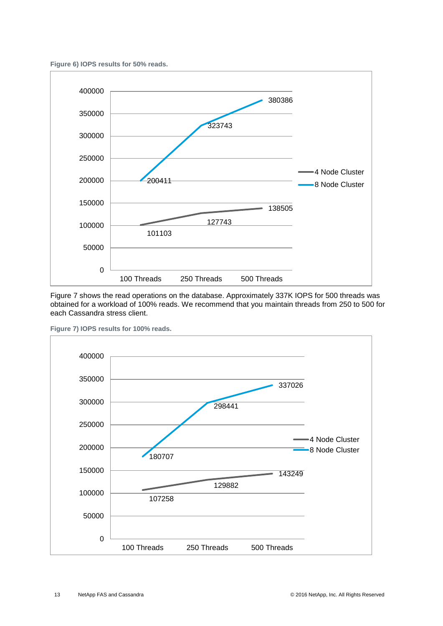<span id="page-12-0"></span>



[Figure 7](#page-12-1) shows the read operations on the database. Approximately 337K IOPS for 500 threads was obtained for a workload of 100% reads. We recommend that you maintain threads from 250 to 500 for each Cassandra stress client.



<span id="page-12-1"></span>**Figure 7) IOPS results for 100% reads.**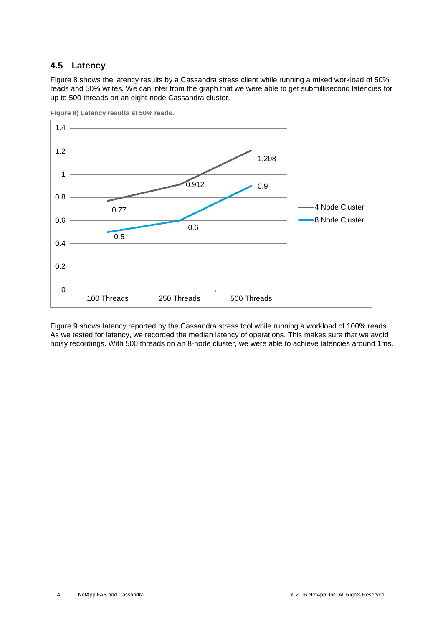#### <span id="page-13-0"></span>**4.5 Latency**

[Figure 8](#page-13-1) shows the latency results by a Cassandra stress client while running a mixed workload of 50% reads and 50% writes. We can infer from the graph that we were able to get submillisecond latencies for up to 500 threads on an eight-node Cassandra cluster.



<span id="page-13-1"></span>**Figure 8) Latency results at 50% reads.**

[Figure 9](#page-14-1) shows latency reported by the Cassandra stress tool while running a workload of 100% reads. As we tested for latency, we recorded the median latency of operations. This makes sure that we avoid noisy recordings. With 500 threads on an 8-node cluster, we were able to achieve latencies around 1ms.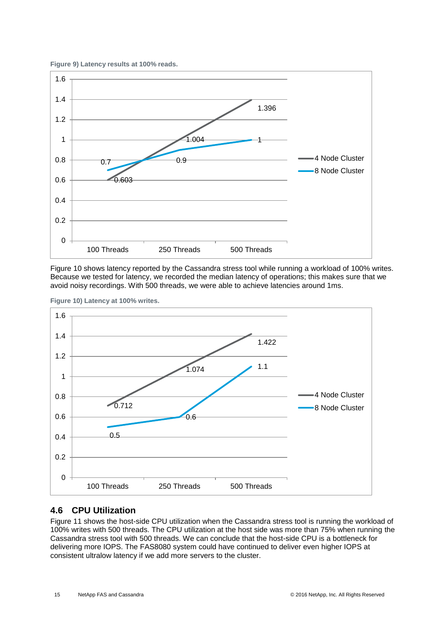<span id="page-14-1"></span>



Figure 10 shows latency reported by the Cassandra stress tool while running a workload of 100% writes. Because we tested for latency, we recorded the median latency of operations; this makes sure that we avoid noisy recordings. With 500 threads, we were able to achieve latencies around 1ms.



<span id="page-14-2"></span>**Figure 10) Latency at 100% writes.**

## <span id="page-14-0"></span>**4.6 CPU Utilization**

Figure 11 shows the host-side CPU utilization when the Cassandra stress tool is running the workload of 100% writes with 500 threads. The CPU utilization at the host side was more than 75% when running the Cassandra stress tool with 500 threads. We can conclude that the host-side CPU is a bottleneck for delivering more IOPS. The FAS8080 system could have continued to deliver even higher IOPS at consistent ultralow latency if we add more servers to the cluster.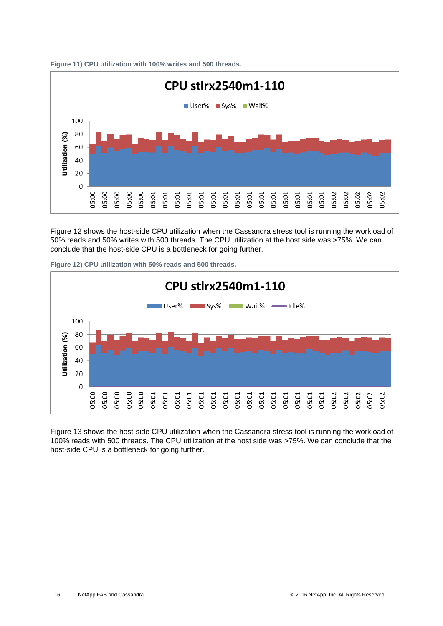

<span id="page-15-0"></span>**Figure 11) CPU utilization with 100% writes and 500 threads.**

[Figure 12](#page-15-1) shows the host-side CPU utilization when the Cassandra stress tool is running the workload of 50% reads and 50% writes with 500 threads. The CPU utilization at the host side was >75%. We can conclude that the host-side CPU is a bottleneck for going further.



<span id="page-15-1"></span>**Figure 12) CPU utilization with 50% reads and 500 threads.**

[Figure 13](#page-16-1) shows the host-side CPU utilization when the Cassandra stress tool is running the workload of 100% reads with 500 threads. The CPU utilization at the host side was >75%. We can conclude that the host-side CPU is a bottleneck for going further.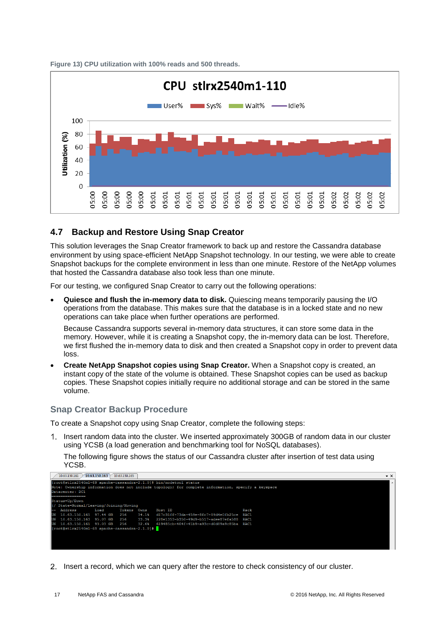

<span id="page-16-1"></span>**Figure 13) CPU utilization with 100% reads and 500 threads.**

## <span id="page-16-0"></span>**4.7 Backup and Restore Using Snap Creator**

This solution leverages the Snap Creator framework to back up and restore the Cassandra database environment by using space-efficient NetApp Snapshot technology. In our testing, we were able to create Snapshot backups for the complete environment in less than one minute. Restore of the NetApp volumes that hosted the Cassandra database also took less than one minute.

For our testing, we configured Snap Creator to carry out the following operations:

 **Quiesce and flush the in-memory data to disk.** Quiescing means temporarily pausing the I/O operations from the database. This makes sure that the database is in a locked state and no new operations can take place when further operations are performed.

Because Cassandra supports several in-memory data structures, it can store some data in the memory. However, while it is creating a Snapshot copy, the in-memory data can be lost. Therefore, we first flushed the in-memory data to disk and then created a Snapshot copy in order to prevent data loss.

 **Create NetApp Snapshot copies using Snap Creator.** When a Snapshot copy is created, an instant copy of the state of the volume is obtained. These Snapshot copies can be used as backup copies. These Snapshot copies initially require no additional storage and can be stored in the same volume.

#### **Snap Creator Backup Procedure**

To create a Snapshot copy using Snap Creator, complete the following steps:

Insert random data into the cluster. We inserted approximately 300GB of random data in our cluster using YCSB (a load generation and benchmarking tool for NoSQL databases).

The following figure shows the status of our Cassandra cluster after insertion of test data using YCSB.

|            | 10.63.150.161                                 | 10.63.150.163 | 10.63.150.165 |         |                                                                                                     | $\mathbf{v} \times$ |  |
|------------|-----------------------------------------------|---------------|---------------|---------|-----------------------------------------------------------------------------------------------------|---------------------|--|
|            |                                               |               |               |         | [root@stlrx2540m1-69 apache-cassandra-2.1.0]# bin/nodetool status                                   |                     |  |
|            |                                               |               |               |         | Note: Ownership information does not include topology; for complete information, specify a keyspace |                     |  |
|            | Datacenter: DC1                               |               |               |         |                                                                                                     |                     |  |
|            | --------------                                |               |               |         |                                                                                                     |                     |  |
|            | Status=Up/Down                                |               |               |         |                                                                                                     |                     |  |
|            | / State=Normal/Leaving/Joining/Moving         |               |               |         |                                                                                                     |                     |  |
|            | Address                                       | Load          | Tokens        | Owns    | Host ID                                                                                             | Rack                |  |
|            | UN 10.63.150.165 97.44 GB                     |               | 256           | 34.1%   | d17c31ff-73da-459e-8fc7-89d4e0fb25ce                                                                | RAG1                |  |
| <b>ION</b> | 10.63.150.163 95.07 GB                        |               | 256           | $33.3*$ | 228e1353-b350-49d9-b517-adee87efa588                                                                | RAC1                |  |
| <b>UN</b>  | 10.63.150.161 93.03 GB                        |               | 256           | 32.6%   | 619485cb-404f-41b9-a93c-d0d89a9c85ba RAC1                                                           |                     |  |
|            | [root@stlrx2540m1-69 apache-cassandra-2.1.0]# |               |               |         |                                                                                                     |                     |  |
|            |                                               |               |               |         |                                                                                                     |                     |  |
|            |                                               |               |               |         |                                                                                                     |                     |  |
|            |                                               |               |               |         |                                                                                                     |                     |  |
|            |                                               |               |               |         |                                                                                                     |                     |  |

2. Insert a record, which we can query after the restore to check consistency of our cluster.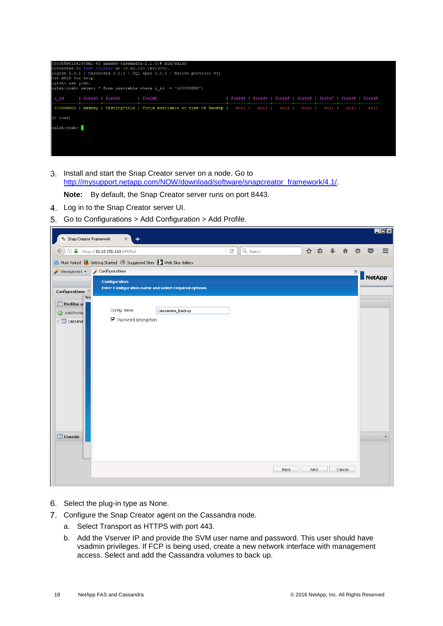

3. Install and start the Snap Creator server on a node. Go to [http://mysupport.netapp.com/NOW/download/software/snapcreator\\_framework/4.1/.](http://mysupport.netapp.com/NOW/download/software/snapcreator_framework/4.1/)

**Note:** By default, the Snap Creator server runs on port 8443.

- Log in to the Snap Creator server UI.
- Go to Configurations > Add Configuration > Add Profile.

| Snap Creator Framework                              | $\times$<br>÷                                                            |                  |               |      |       |        |                       |                     | H <sub>II</sub>                      |
|-----------------------------------------------------|--------------------------------------------------------------------------|------------------|---------------|------|-------|--------|-----------------------|---------------------|--------------------------------------|
| ⇐                                                   | ① ● https://10.63.150.163:8443/ui/                                       |                  | Q Search<br>G |      | ☆ 自 ↓ | 合      | $\Theta$              | $\bullet$           | $\equiv$                             |
|                                                     | A Most Visited Co Getting Started Co Suggested Sites M Web Slice Gallery |                  |               |      |       |        |                       |                     |                                      |
| Management $\star$                                  | Configuration                                                            |                  |               |      |       |        | $\left[\times\right]$ | NetApp <sup>®</sup> |                                      |
| Configurations <sup>36</sup>                        | Configuration<br>Enter Configuration name and select required options.   |                  |               |      |       |        |                       |                     |                                      |
| We<br>Profiles a<br>Add Profile<br>D <b>Cassand</b> | Config. Name:<br>$\nabla$ Password Encryption                            | Cassandra_Backup |               |      |       |        |                       |                     |                                      |
| <b>E</b> Console                                    |                                                                          |                  |               |      |       |        |                       |                     | $\overline{\left[ \text{X} \right]}$ |
|                                                     |                                                                          |                  |               | Back | Next. | Cancel |                       |                     |                                      |

- 6. Select the plug-in type as None.
- 7. Configure the Snap Creator agent on the Cassandra node.
	- a. Select Transport as HTTPS with port 443.
	- b. Add the Vserver IP and provide the SVM user name and password. This user should have vsadmin privileges. If FCP is being used, create a new network interface with management access. Select and add the Cassandra volumes to back up.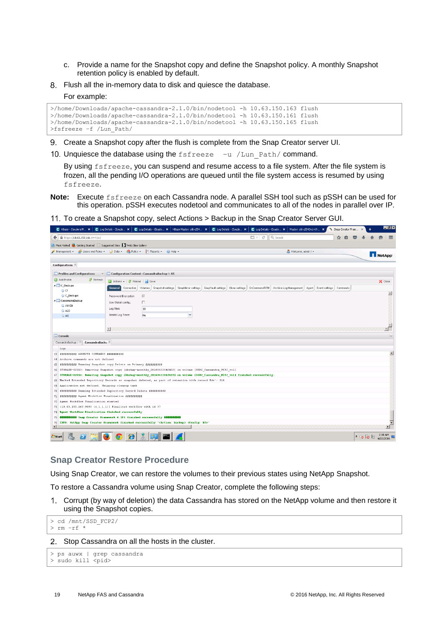- c. Provide a name for the Snapshot copy and define the Snapshot policy. A monthly Snapshot retention policy is enabled by default.
- Flush all the in-memory data to disk and quiesce the database.

#### For example:

```
>/home/Downloads/apache-cassandra-2.1.0/bin/nodetool -h 10.63.150.163 flush
>/home/Downloads/apache-cassandra-2.1.0/bin/nodetool -h 10.63.150.161 flush
>/home/Downloads/apache-cassandra-2.1.0/bin/nodetool -h 10.63.150.165 flush
>fsfreeze –f /Lun_Path/
```
- Create a Snapshot copy after the flush is complete from the Snap Creator server UI.
- 10. Unquiesce the database using the fsfreeze -u /Lun\_Path/ command.

By using fsfreeze, you can suspend and resume access to a file system. After the file system is frozen, all the pending I/O operations are queued until the file system access is resumed by using fsfreeze.

- **Note:** Execute fsfreeze on each Cassandra node. A parallel SSH tool such as pSSH can be used for this operation. pSSH executes nodetool and communicates to all of the nodes in parallel over IP.
- 11. To create a Snapshot copy, select Actions > Backup in the Snap Creator Server GUI.

|                                                                                  | C HBase - Cloudera M X C Log Details - Cloude X C Log Details - Cloude X HBase Master: stirx254 X C Log Details - Cloude X  <br>C Log Details - Cloude X<br>Master: stlrx2540m1-69<br><sup>9</sup> Snap Creator Fram<br>$\mathbf{x}$ | $H = 1$                                                                                                                                                                                                                                                                                                                                                                                                                  |  |  |  |
|----------------------------------------------------------------------------------|--------------------------------------------------------------------------------------------------------------------------------------------------------------------------------------------------------------------------------------|--------------------------------------------------------------------------------------------------------------------------------------------------------------------------------------------------------------------------------------------------------------------------------------------------------------------------------------------------------------------------------------------------------------------------|--|--|--|
| □ https://10.63.150.161:8443/ui/<br>←                                            | $C^i$<br>Q Search<br>☆<br>自<br>四マ                                                                                                                                                                                                    | $\equiv$                                                                                                                                                                                                                                                                                                                                                                                                                 |  |  |  |
| Most Visited (3) Getting Started   Suggested Sites   Web Slice Gallery           |                                                                                                                                                                                                                                      |                                                                                                                                                                                                                                                                                                                                                                                                                          |  |  |  |
|                                                                                  | Management - Gibbers and Roles - Collada - Gibber - Reports - Gibber<br>Welcome, admin ! -                                                                                                                                           | NetApp <sup>®</sup>                                                                                                                                                                                                                                                                                                                                                                                                      |  |  |  |
|                                                                                  |                                                                                                                                                                                                                                      |                                                                                                                                                                                                                                                                                                                                                                                                                          |  |  |  |
| Configurations <b>×</b>                                                          |                                                                                                                                                                                                                                      |                                                                                                                                                                                                                                                                                                                                                                                                                          |  |  |  |
| Profiles and Configurations                                                      | « Configuration Content : CassandraBackup > A5                                                                                                                                                                                       |                                                                                                                                                                                                                                                                                                                                                                                                                          |  |  |  |
| <i>은</i> Refresh<br>Add Profile                                                  | Actions -   2 Reload   Save                                                                                                                                                                                                          | X Close                                                                                                                                                                                                                                                                                                                                                                                                                  |  |  |  |
| ⊿ E C Backups                                                                    | Volumes Snapshot settings SnapMirror settings SnapVault settings Clone settings OnCommand/DFM Archive Log Management Agent Event settings<br>Commands<br>Connection  <br>General                                                     |                                                                                                                                                                                                                                                                                                                                                                                                                          |  |  |  |
| <b>B</b> C1                                                                      |                                                                                                                                                                                                                                      | $\blacktriangle$                                                                                                                                                                                                                                                                                                                                                                                                         |  |  |  |
| C Backups<br>▲ <b>E</b> CassandraBackup                                          | Password Encryption:<br>$\overline{\vee}$                                                                                                                                                                                            |                                                                                                                                                                                                                                                                                                                                                                                                                          |  |  |  |
| <b>&amp; A1100</b>                                                               | п<br>Use Global config.                                                                                                                                                                                                              |                                                                                                                                                                                                                                                                                                                                                                                                                          |  |  |  |
| <b>3 A22</b>                                                                     | Log Files:<br>30                                                                                                                                                                                                                     |                                                                                                                                                                                                                                                                                                                                                                                                                          |  |  |  |
| <b>&amp; A5</b>                                                                  | Enable Log Trace:<br>$\checkmark$<br>No                                                                                                                                                                                              |                                                                                                                                                                                                                                                                                                                                                                                                                          |  |  |  |
|                                                                                  |                                                                                                                                                                                                                                      |                                                                                                                                                                                                                                                                                                                                                                                                                          |  |  |  |
|                                                                                  | $\vert$ 4 $\vert$                                                                                                                                                                                                                    |                                                                                                                                                                                                                                                                                                                                                                                                                          |  |  |  |
| $\Box$ Console                                                                   |                                                                                                                                                                                                                                      | <b>V</b>                                                                                                                                                                                                                                                                                                                                                                                                                 |  |  |  |
|                                                                                  |                                                                                                                                                                                                                                      |                                                                                                                                                                                                                                                                                                                                                                                                                          |  |  |  |
| CassandraBackup : [8] CassandraBacku [8]                                         |                                                                                                                                                                                                                                      |                                                                                                                                                                                                                                                                                                                                                                                                                          |  |  |  |
| Logs                                                                             |                                                                                                                                                                                                                                      | $\blacktriangle$                                                                                                                                                                                                                                                                                                                                                                                                         |  |  |  |
| 63 ########## ARCHIVE COMMANDS ##########<br>64 Archive commands are not defined |                                                                                                                                                                                                                                      |                                                                                                                                                                                                                                                                                                                                                                                                                          |  |  |  |
|                                                                                  | 65 ########## Running Snapshot copy Delete on Primary ##########                                                                                                                                                                     |                                                                                                                                                                                                                                                                                                                                                                                                                          |  |  |  |
|                                                                                  | 66 STORAGE-02013: Removing Snapshot copy [Akshay-monthly 20160622042422] on volume [SSD2 Cassandra FCP2 vol]                                                                                                                         |                                                                                                                                                                                                                                                                                                                                                                                                                          |  |  |  |
|                                                                                  | 67 STORAGE-02014: Removing Snapshot copy [Akshay-monthly 20160622042422] on volume [SSD2 Cassandra FCP2 vol] finished successfully.                                                                                                  |                                                                                                                                                                                                                                                                                                                                                                                                                          |  |  |  |
|                                                                                  | 68 Marked Extended Repository Records as snapshot deleted, as part of retention with record Ids': 518                                                                                                                                |                                                                                                                                                                                                                                                                                                                                                                                                                          |  |  |  |
| 69 Application not defined. Skipping cleanup task                                |                                                                                                                                                                                                                                      |                                                                                                                                                                                                                                                                                                                                                                                                                          |  |  |  |
|                                                                                  | 70 ########## Running Extended Repository Record Delete ##########                                                                                                                                                                   |                                                                                                                                                                                                                                                                                                                                                                                                                          |  |  |  |
|                                                                                  | 71 SSSSSSSSSS Agent Workflow Finalization SSSSSSSSS                                                                                                                                                                                  |                                                                                                                                                                                                                                                                                                                                                                                                                          |  |  |  |
| 72 Agent Workflow Finalization started                                           |                                                                                                                                                                                                                                      |                                                                                                                                                                                                                                                                                                                                                                                                                          |  |  |  |
| 73 [10.63.150.163:9090 (4.1.1.1)] Finalized workflow with id 37                  |                                                                                                                                                                                                                                      |                                                                                                                                                                                                                                                                                                                                                                                                                          |  |  |  |
| 74 Agent Workflow Finalization finished successfully                             |                                                                                                                                                                                                                                      |                                                                                                                                                                                                                                                                                                                                                                                                                          |  |  |  |
|                                                                                  |                                                                                                                                                                                                                                      |                                                                                                                                                                                                                                                                                                                                                                                                                          |  |  |  |
| $\left  \right $                                                                 | 76 INEO: NetRpp Snap Creator Framework finished successfully "(Action: backup) (Config: A5)"                                                                                                                                         |                                                                                                                                                                                                                                                                                                                                                                                                                          |  |  |  |
|                                                                                  |                                                                                                                                                                                                                                      |                                                                                                                                                                                                                                                                                                                                                                                                                          |  |  |  |
|                                                                                  | $\boldsymbol{\beta}$<br>$\bullet$                                                                                                                                                                                                    | $\begin{array}{ c c c c }\n\hline\n\text{a} & \text{b} & \text{c} & \text{c} & \text{c} \\ \hline\n\text{b} & \text{c} & \text{d} & \text{d} & \text{d} & \text{d} \\ \hline\n\text{c)} & \text{d} & \text{d} & \text{e} & \text{e} & \text{f} & \text{f} & \text{f} \\ \hline\n\text{d} & \text{d} & \text{d} & \text{e} & \text{f} & \text{f} & \text{f} & \text{f} & \text{f} & \text{f} & \text{f} & \text{f} \\ \h$ |  |  |  |

#### **Snap Creator Restore Procedure**

Using Snap Creator, we can restore the volumes to their previous states using NetApp Snapshot.

To restore a Cassandra volume using Snap Creator, complete the following steps:

Corrupt (by way of deletion) the data Cassandra has stored on the NetApp volume and then restore it using the Snapshot copies.

> cd /mnt/SSD\_FCP2/  $>$  rm  $-rf$  \*

#### 2. Stop Cassandra on all the hosts in the cluster.

```
> ps auwx | grep cassandra
> sudo kill <pid>
```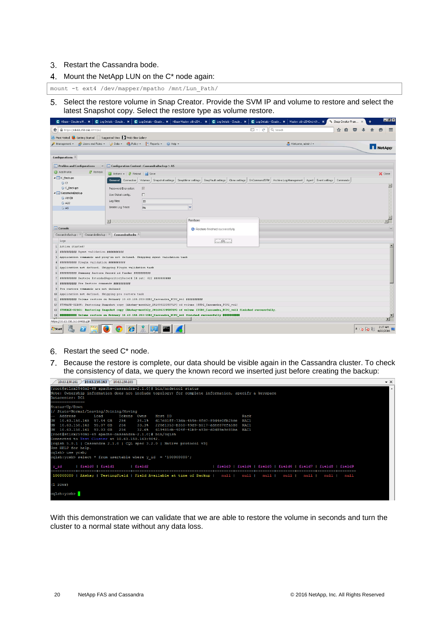#### 3. Restart the Cassandra bode.

4. Mount the NetApp LUN on the C\* node again:

mount -t ext4 /dev/mapper/mpatho /mnt/Lun\_Path/

Select the restore volume in Snap Creator. Provide the SVM IP and volume to restore and select the latest Snapshot copy. Select the restore type as volume restore.

|                                                                                                                 | C HBase - Cloudera M X   C Log Details - Cloude X   C Log Details - Cloude X   HBase Master: stln:254 X   C Log Details - Cloude X   C Log Details - Cloude X<br>Master: stirx2540m1-69<br><sup>9</sup> Snap Creator Fram.<br>$\boldsymbol{\mathsf{x}}$ | <b>EDX</b>                      |  |  |
|-----------------------------------------------------------------------------------------------------------------|---------------------------------------------------------------------------------------------------------------------------------------------------------------------------------------------------------------------------------------------------------|---------------------------------|--|--|
| $\bigodot$ $\blacksquare$ https://10.63.150.161:8443/ui/                                                        | $E1 \vee C$<br>Q, Search<br>☆<br>自                                                                                                                                                                                                                      | $\equiv$                        |  |  |
| A Most Visited C Getting Started Suggested Sites Web Slice Gallery                                              |                                                                                                                                                                                                                                                         |                                 |  |  |
|                                                                                                                 | Management + coll Users and Roles + Collate + Collate + Policy + E Reports + Collete +<br>Welcome, admin   -                                                                                                                                            | NetApp                          |  |  |
|                                                                                                                 |                                                                                                                                                                                                                                                         |                                 |  |  |
| Configurations <sup>36</sup>                                                                                    |                                                                                                                                                                                                                                                         |                                 |  |  |
| Profiles and Configurations                                                                                     | $\left \frac{1}{2}\right $ Configuration Content : CassandraBackup > A5                                                                                                                                                                                 |                                 |  |  |
| Add Profile<br>Refresh                                                                                          | Actions •   2 Reload   Save                                                                                                                                                                                                                             | X Close                         |  |  |
| $\blacksquare$ C Backups                                                                                        | Connection   Volumes  <br>Snapshot settings   SnapMirror settings   SnapVault settings   Clone settings   OnCommand/DFM   Archive Log Management   Agent   Event settings   Commands<br>General                                                         |                                 |  |  |
| ® C1<br>C Backups                                                                                               | Password Encryption:<br>$\overline{\vee}$                                                                                                                                                                                                               | $\blacktriangle$                |  |  |
| 4 E CassandraBackup                                                                                             | Use Global config.:<br>п                                                                                                                                                                                                                                |                                 |  |  |
| <b>卷 A1100</b>                                                                                                  | Log Files:<br>30                                                                                                                                                                                                                                        |                                 |  |  |
| <b>83 A22</b><br><b>BAS</b>                                                                                     | $\checkmark$<br>Enable Log Trace:<br>No                                                                                                                                                                                                                 |                                 |  |  |
|                                                                                                                 |                                                                                                                                                                                                                                                         |                                 |  |  |
|                                                                                                                 | Restore<br>$\vert$                                                                                                                                                                                                                                      |                                 |  |  |
| Console                                                                                                         | C Restore finished successfully.                                                                                                                                                                                                                        | $\overline{\check{\mathbf{x}}}$ |  |  |
| CassandraBackup : [8] CassandraBackup : [8]                                                                     | CassandraBacku                                                                                                                                                                                                                                          |                                 |  |  |
| Logs                                                                                                            | OK                                                                                                                                                                                                                                                      |                                 |  |  |
| 1 Action started!                                                                                               |                                                                                                                                                                                                                                                         |                                 |  |  |
| 2 ########## Agent validation ##########                                                                        |                                                                                                                                                                                                                                                         |                                 |  |  |
|                                                                                                                 | 3 Application commands and plug-in not defined. Skipping Agent validation task                                                                                                                                                                          |                                 |  |  |
| SSSSSSSSSS Plugin validation SSSSSSSSSS<br>$\sim$<br>5 Application not defined. Skipping Plugin validation task |                                                                                                                                                                                                                                                         |                                 |  |  |
| 6 ########## Running Restore Record id Finder ##########                                                        |                                                                                                                                                                                                                                                         |                                 |  |  |
|                                                                                                                 |                                                                                                                                                                                                                                                         |                                 |  |  |
| ffffffffffff Pre Restore commands ffffffffffff                                                                  |                                                                                                                                                                                                                                                         |                                 |  |  |
| 9 Pre restore commands are not defined                                                                          |                                                                                                                                                                                                                                                         |                                 |  |  |
| 10 Application not defined. Skipping pre restore task                                                           |                                                                                                                                                                                                                                                         |                                 |  |  |
|                                                                                                                 |                                                                                                                                                                                                                                                         |                                 |  |  |
|                                                                                                                 | 12 STORAGE-02160: Restoring Snapshot copy (Akshay-monthly 20160622050719) of volume (SSD2 Cassandra FCP2 vol)                                                                                                                                           |                                 |  |  |
|                                                                                                                 | 13 STORAGE-02161: Restoring Snapshot copy [Akshay-monthly 20160622050719] of volume [SSD2 Cassandra FCP2 vol] finished successfully.                                                                                                                    |                                 |  |  |
| $\sim 0$                                                                                                        |                                                                                                                                                                                                                                                         |                                 |  |  |
| https://10.63.150.161:8443/ui/#                                                                                 |                                                                                                                                                                                                                                                         |                                 |  |  |
| <b>Start</b>                                                                                                    | e                                                                                                                                                                                                                                                       | $^*$ to a $\Box$                |  |  |

- 6. Restart the seed C\* node.
- 7. Because the restore is complete, our data should be visible again in the Cassandra cluster. To check the consistency of data, we query the known record we inserted just before creating the backup:

| 10.63.150.163<br>10.63.150.165<br>10.63.150.161                                                                                                                                                                                                                                                                                                                                                                                                                                                                                                                                                              |                                                              | $\bullet$ $\times$ |
|--------------------------------------------------------------------------------------------------------------------------------------------------------------------------------------------------------------------------------------------------------------------------------------------------------------------------------------------------------------------------------------------------------------------------------------------------------------------------------------------------------------------------------------------------------------------------------------------------------------|--------------------------------------------------------------|--------------------|
| [root@stlrx2540m1-69 apache-cassandra-2.1.0]# bin/nodetool status<br>Note: Ownership information does not include topology; for complete information, specify a keyspace<br>Datacenter: DC1<br>-----------------                                                                                                                                                                                                                                                                                                                                                                                             |                                                              | $\overline{a}$     |
| Status=Up/Down<br> / State=Normal/Leaving/Joining/Moving                                                                                                                                                                                                                                                                                                                                                                                                                                                                                                                                                     |                                                              |                    |
| -- Address<br>Load<br>Tokens Owns<br>Host ID<br>UN 10.63.150.165 97.44 GB 256<br>34.1%<br>d17c31ff-73da-459e-8fc7-89d4e0fb25ce<br>UN 10.63.150.163 95.07 GB 256<br>33.3% 228e1353-b350-49d9-b517-adee87efa588<br>UN 10.63.150.161 93.03 GB<br>32.6%<br>619485cb-404f-41b9-a93c-d0d89a9c85ba RAC1<br>256<br>[root@stlrx2540m1-69 apache-cassandra-2.1.0]# bin/cqlsh<br>Connected to Test Cluster at 10.63.150.163:9042.<br>[cqlsh 5.0.1   Cassandra 2.1.0   CQL spec 3.2.0   Native protocol v3]<br>Use HELP for help.<br>cqlsh> use ycsb;<br>cqlsh:ycsb> select * from usertable where $y$ id = '100000000'; | Rack<br>RAC1<br><b>RAC1</b>                                  |                    |
| field0   field1<br>  field2<br>y id                                                                                                                                                                                                                                                                                                                                                                                                                                                                                                                                                                          | field3   field4   field5   field6   field7   field8   field9 |                    |
| 100000000   Akshay   TestingField   Field Available at time of Backup   null                                                                                                                                                                                                                                                                                                                                                                                                                                                                                                                                 | null<br>null   null   null  <br>$mu11$  <br>null             |                    |
| $(1$ rows)                                                                                                                                                                                                                                                                                                                                                                                                                                                                                                                                                                                                   |                                                              |                    |
| cqlsh:ycsb>                                                                                                                                                                                                                                                                                                                                                                                                                                                                                                                                                                                                  |                                                              |                    |

With this demonstration we can validate that we are able to restore the volume in seconds and turn the cluster to a normal state without any data loss.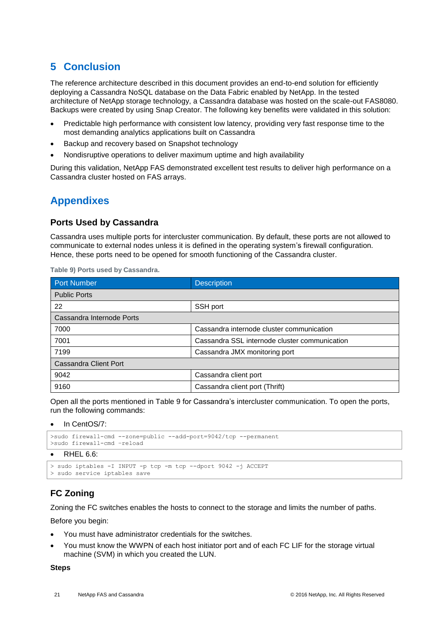# <span id="page-20-0"></span>**5 Conclusion**

The reference architecture described in this document provides an end-to-end solution for efficiently deploying a Cassandra NoSQL database on the Data Fabric enabled by NetApp. In the tested architecture of NetApp storage technology, a Cassandra database was hosted on the scale-out FAS8080. Backups were created by using Snap Creator. The following key benefits were validated in this solution:

- Predictable high performance with consistent low latency, providing very fast response time to the most demanding analytics applications built on Cassandra
- Backup and recovery based on Snapshot technology
- Nondisruptive operations to deliver maximum uptime and high availability

During this validation, NetApp FAS demonstrated excellent test results to deliver high performance on a Cassandra cluster hosted on FAS arrays.

# <span id="page-20-1"></span>**Appendixes**

#### <span id="page-20-2"></span>**Ports Used by Cassandra**

Cassandra uses multiple ports for intercluster communication. By default, these ports are not allowed to communicate to external nodes unless it is defined in the operating system's firewall configuration. Hence, these ports need to be opened for smooth functioning of the Cassandra cluster.

**Table 9) Ports used by Cassandra.**

| Port Number               | <b>Description</b>                            |  |  |  |
|---------------------------|-----------------------------------------------|--|--|--|
| <b>Public Ports</b>       |                                               |  |  |  |
| 22                        | SSH port                                      |  |  |  |
| Cassandra Internode Ports |                                               |  |  |  |
| 7000                      | Cassandra internode cluster communication     |  |  |  |
| 7001                      | Cassandra SSL internode cluster communication |  |  |  |
| 7199                      | Cassandra JMX monitoring port                 |  |  |  |
| Cassandra Client Port     |                                               |  |  |  |
| 9042                      | Cassandra client port                         |  |  |  |
| 9160                      | Cassandra client port (Thrift)                |  |  |  |

Open all the ports mentioned in Table 9 for Cassandra's intercluster communication. To open the ports, run the following commands:

• In CentOS/7:

```
>sudo firewall-cmd --zone=public --add-port=9042/tcp --permanent
>sudo firewall-cmd –reload
```
 $\bullet$  RHEL 6.6:

```
> sudo iptables -I INPUT -p tcp -m tcp --dport 9042 -j ACCEPT
> sudo service iptables save
```
# <span id="page-20-3"></span>**FC Zoning**

Zoning the FC switches enables the hosts to connect to the storage and limits the number of paths.

Before you begin:

- You must have administrator credentials for the switches.
- You must know the WWPN of each host initiator port and of each FC LIF for the storage virtual machine (SVM) in which you created the LUN.

#### **Steps**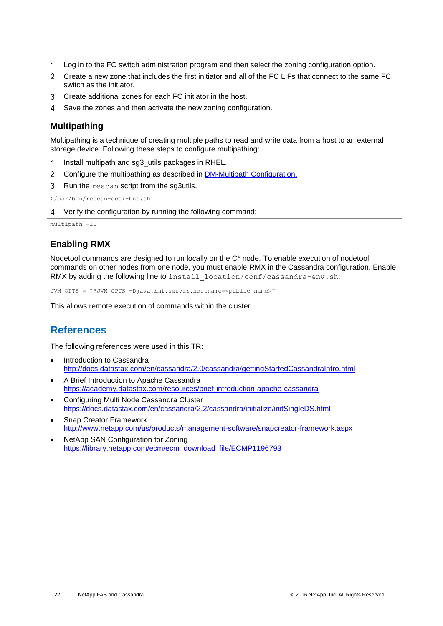- Log in to the FC switch administration program and then select the zoning configuration option.
- Create a new zone that includes the first initiator and all of the FC LIFs that connect to the same FC switch as the initiator.
- Create additional zones for each FC initiator in the host.
- 4. Save the zones and then activate the new zoning configuration.

#### <span id="page-21-0"></span>**Multipathing**

Multipathing is a technique of creating multiple paths to read and write data from a host to an external storage device. Following these steps to configure multipathing:

- 1. Install multipath and sg3 utils packages in RHEL.
- 2. Configure the multipathing as described in **DM-Multipath Configuration.**
- 3. Run the rescan script from the sg3utils.

>/usr/bin/rescan-scsi-bus.sh

Verify the configuration by running the following command:

```
multipath –ll
```
#### <span id="page-21-1"></span>**Enabling RMX**

Nodetool commands are designed to run locally on the C<sup>\*</sup> node. To enable execution of nodetool commands on other nodes from one node, you must enable RMX in the Cassandra configuration. Enable RMX by adding the following line to install location/conf/cassandra-env.sh:

JVM\_OPTS = "\$JVM\_OPTS -Djava.rmi.server.hostname=<public name>"

This allows remote execution of commands within the cluster.

# <span id="page-21-2"></span>**References**

The following references were used in this TR:

- Introduction to Cassandra <http://docs.datastax.com/en/cassandra/2.0/cassandra/gettingStartedCassandraIntro.html>
- A Brief Introduction to Apache Cassandra <https://academy.datastax.com/resources/brief-introduction-apache-cassandra>
- Configuring Multi Node Cassandra Cluster <https://docs.datastax.com/en/cassandra/2.2/cassandra/initialize/initSingleDS.html>
- Snap Creator Framework <http://www.netapp.com/us/products/management-software/snapcreator-framework.aspx>
- NetApp SAN Configuration for Zoning [https://library.netapp.com/ecm/ecm\\_download\\_file/ECMP1196793](https://library.netapp.com/ecm/ecm_download_file/ECMP1196793)